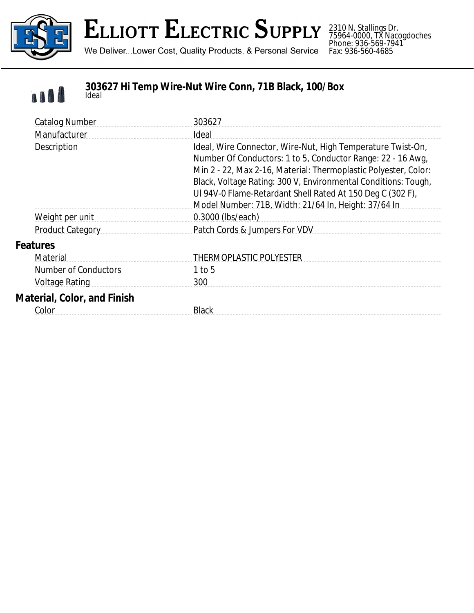

### **ELLIOTT ELECTRIC SUPPLY**

We Deliver...Lower Cost, Quality Products, & Personal Service

2310 N. Stallings Dr. 75964-0000, TX Nacogdoches Phone: 936-569-7941 Fax: 936-560-4685



#### **303627 Hi Temp Wire-Nut Wire Conn, 71B Black, 100/Box** *Ideal*

| <b>Catalog Number</b>              | 303627                                                                                                                                                                                                                                                                                                                                                                                |
|------------------------------------|---------------------------------------------------------------------------------------------------------------------------------------------------------------------------------------------------------------------------------------------------------------------------------------------------------------------------------------------------------------------------------------|
| Manufacturer                       | Ideal                                                                                                                                                                                                                                                                                                                                                                                 |
| Description                        | Ideal, Wire Connector, Wire-Nut, High Temperature Twist-On,<br>Number Of Conductors: 1 to 5, Conductor Range: 22 - 16 Awg,<br>Min 2 - 22, Max 2-16, Material: Thermoplastic Polyester, Color:<br>Black, Voltage Rating: 300 V, Environmental Conditions: Tough,<br>UI 94V-0 Flame-Retardant Shell Rated At 150 Deg C (302 F),<br>Model Number: 71B, Width: 21/64 In, Height: 37/64 In |
| Weight per unit                    | 0.3000 (lbs/each)                                                                                                                                                                                                                                                                                                                                                                     |
| <b>Product Category</b>            | Patch Cords & Jumpers For VDV                                                                                                                                                                                                                                                                                                                                                         |
| <b>Features</b>                    |                                                                                                                                                                                                                                                                                                                                                                                       |
| Material                           | <b>THERMOPLASTIC POLYESTER</b>                                                                                                                                                                                                                                                                                                                                                        |
| <b>Number of Conductors</b>        | $1$ to 5                                                                                                                                                                                                                                                                                                                                                                              |
| <b>Voltage Rating</b>              | 300                                                                                                                                                                                                                                                                                                                                                                                   |
| <b>Material, Color, and Finish</b> |                                                                                                                                                                                                                                                                                                                                                                                       |
| Color                              | Black                                                                                                                                                                                                                                                                                                                                                                                 |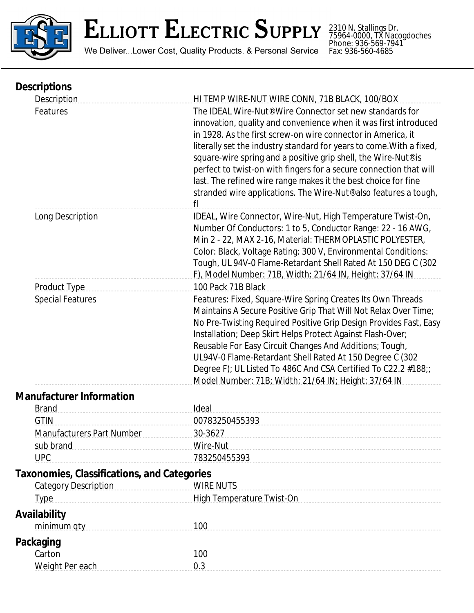

# ELLIOTT ELECTRIC SUPPLY

We Deliver...Lower Cost, Quality Products, & Personal Service

2310 N. Stallings Dr. 75964-0000, TX Nacogdoches Phone: 936-569-7941 Fax: 936-560-4685

| <b>Descriptions</b>                                |                                                                                                                                                                                                                                                                                                                                                                                                                                                                                                                                                                                  |
|----------------------------------------------------|----------------------------------------------------------------------------------------------------------------------------------------------------------------------------------------------------------------------------------------------------------------------------------------------------------------------------------------------------------------------------------------------------------------------------------------------------------------------------------------------------------------------------------------------------------------------------------|
| Description                                        | HI TEMP WIRE-NUT WIRE CONN, 71B BLACK, 100/BOX                                                                                                                                                                                                                                                                                                                                                                                                                                                                                                                                   |
| Features                                           | The IDEAL Wire-Nut <sup>®</sup> Wire Connector set new standards for<br>innovation, quality and convenience when it was first introduced<br>in 1928. As the first screw-on wire connector in America, it<br>literally set the industry standard for years to come. With a fixed,<br>square-wire spring and a positive grip shell, the Wire-Nut® is<br>perfect to twist-on with fingers for a secure connection that will<br>last. The refined wire range makes it the best choice for fine<br>stranded wire applications. The Wire-Nut <sup>®</sup> also features a tough,<br>fl |
| Long Description                                   | IDEAL, Wire Connector, Wire-Nut, High Temperature Twist-On,<br>Number Of Conductors: 1 to 5, Conductor Range: 22 - 16 AWG,<br>Min 2 - 22, MAX 2-16, Material: THERMOPLASTIC POLYESTER,<br>Color: Black, Voltage Rating: 300 V, Environmental Conditions:<br>Tough, UL 94V-0 Flame-Retardant Shell Rated At 150 DEG C (302<br>F), Model Number: 71B, Width: 21/64 IN, Height: 37/64 IN                                                                                                                                                                                            |
| <b>Product Type</b>                                | 100 Pack 71B Black                                                                                                                                                                                                                                                                                                                                                                                                                                                                                                                                                               |
| <b>Special Features</b>                            | Features: Fixed, Square-Wire Spring Creates Its Own Threads<br>Maintains A Secure Positive Grip That Will Not Relax Over Time;<br>No Pre-Twisting Required Positive Grip Design Provides Fast, Easy<br>Installation; Deep Skirt Helps Protect Against Flash-Over;<br>Reusable For Easy Circuit Changes And Additions; Tough,<br>UL94V-0 Flame-Retardant Shell Rated At 150 Degree C (302<br>Degree F); UL Listed To 486C And CSA Certified To C22.2 #188;;<br>Model Number: 71B; Width: 21/64 IN; Height: 37/64 IN                                                               |
| <b>Manufacturer Information</b>                    |                                                                                                                                                                                                                                                                                                                                                                                                                                                                                                                                                                                  |
| <b>Brand</b>                                       | Ideal                                                                                                                                                                                                                                                                                                                                                                                                                                                                                                                                                                            |
| <b>GTIN</b>                                        | 00783250455393                                                                                                                                                                                                                                                                                                                                                                                                                                                                                                                                                                   |
| <b>Manufacturers Part Number</b>                   | 30-3627                                                                                                                                                                                                                                                                                                                                                                                                                                                                                                                                                                          |
| sub brand                                          | Wire-Nut                                                                                                                                                                                                                                                                                                                                                                                                                                                                                                                                                                         |
| <b>UPC</b>                                         | 783250455393                                                                                                                                                                                                                                                                                                                                                                                                                                                                                                                                                                     |
| <b>Taxonomies, Classifications, and Categories</b> |                                                                                                                                                                                                                                                                                                                                                                                                                                                                                                                                                                                  |
| <b>Category Description</b>                        | <b>WIRE NUTS</b>                                                                                                                                                                                                                                                                                                                                                                                                                                                                                                                                                                 |
| <b>Type</b>                                        | High Temperature Twist-On                                                                                                                                                                                                                                                                                                                                                                                                                                                                                                                                                        |
| <b>Availability</b>                                |                                                                                                                                                                                                                                                                                                                                                                                                                                                                                                                                                                                  |
| minimum qty                                        | 100                                                                                                                                                                                                                                                                                                                                                                                                                                                                                                                                                                              |
| <b>Packaging</b>                                   |                                                                                                                                                                                                                                                                                                                                                                                                                                                                                                                                                                                  |
| Carton                                             | 100                                                                                                                                                                                                                                                                                                                                                                                                                                                                                                                                                                              |
| Weight Per each                                    | 0.3                                                                                                                                                                                                                                                                                                                                                                                                                                                                                                                                                                              |
|                                                    |                                                                                                                                                                                                                                                                                                                                                                                                                                                                                                                                                                                  |